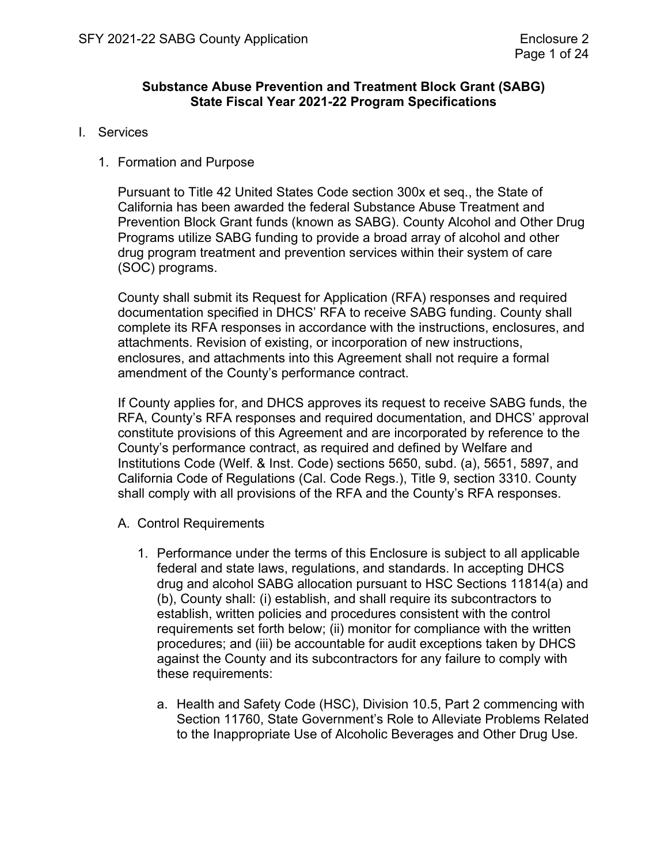## **Substance Abuse Prevention and Treatment Block Grant (SABG) State Fiscal Year 2021-22 Program Specifications**

## I. Services

1. Formation and Purpose

Pursuant to Title 42 United States Code section 300x et seq., the State of California has been awarded the federal Substance Abuse Treatment and Prevention Block Grant funds (known as SABG). County Alcohol and Other Drug Programs utilize SABG funding to provide a broad array of alcohol and other drug program treatment and prevention services within their system of care (SOC) programs.

County shall submit its Request for Application (RFA) responses and required documentation specified in DHCS' RFA to receive SABG funding. County shall complete its RFA responses in accordance with the instructions, enclosures, and attachments. Revision of existing, or incorporation of new instructions, enclosures, and attachments into this Agreement shall not require a formal amendment of the County's performance contract.

If County applies for, and DHCS approves its request to receive SABG funds, the RFA, County's RFA responses and required documentation, and DHCS' approval constitute provisions of this Agreement and are incorporated by reference to the County's performance contract, as required and defined by Welfare and Institutions Code (Welf. & Inst. Code) sections 5650, subd. (a), 5651, 5897, and California Code of Regulations (Cal. Code Regs.), Title 9, section 3310. County shall comply with all provisions of the RFA and the County's RFA responses.

- A. Control Requirements
	- 1. Performance under the terms of this Enclosure is subject to all applicable federal and state laws, regulations, and standards. In accepting DHCS drug and alcohol SABG allocation pursuant to HSC Sections 11814(a) and (b), County shall: (i) establish, and shall require its subcontractors to establish, written policies and procedures consistent with the control requirements set forth below; (ii) monitor for compliance with the written procedures; and (iii) be accountable for audit exceptions taken by DHCS against the County and its subcontractors for any failure to comply with these requirements:
		- a. Health and Safety Code (HSC), Division 10.5, Part 2 commencing with Section 11760, State Government's Role to Alleviate Problems Related to the Inappropriate Use of Alcoholic Beverages and Other Drug Use.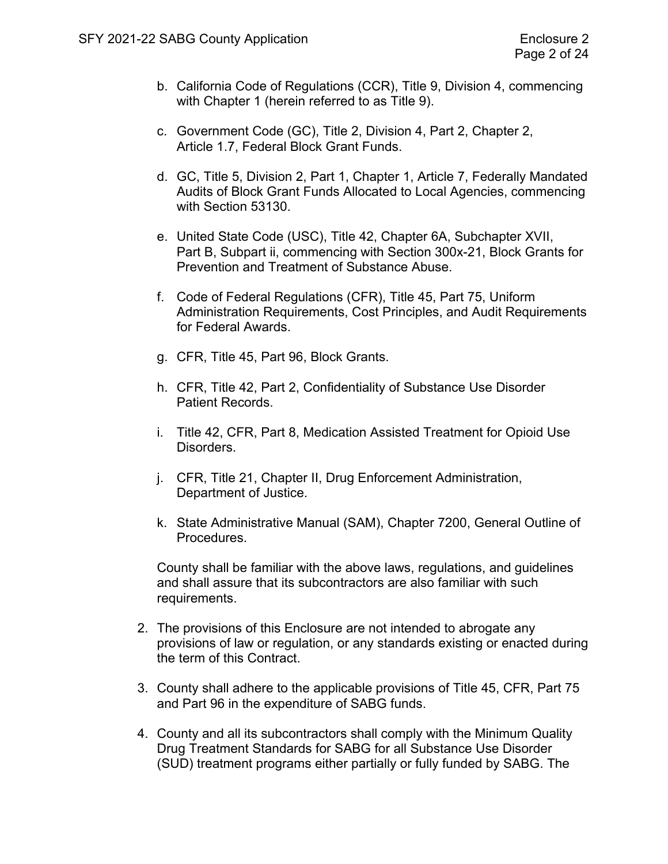- b. California Code of Regulations (CCR), Title 9, Division 4, commencing with Chapter 1 (herein referred to as Title 9).
- c. Government Code (GC), Title 2, Division 4, Part 2, Chapter 2, Article 1.7, Federal Block Grant Funds.
- d. GC, Title 5, Division 2, Part 1, Chapter 1, Article 7, Federally Mandated Audits of Block Grant Funds Allocated to Local Agencies, commencing with Section 53130.
- e. United State Code (USC), Title 42, Chapter 6A, Subchapter XVII, Part B, Subpart ii, commencing with Section 300x-21, Block Grants for Prevention and Treatment of Substance Abuse.
- f. Code of Federal Regulations (CFR), Title 45, Part 75, Uniform Administration Requirements, Cost Principles, and Audit Requirements for Federal Awards.
- g. CFR, Title 45, Part 96, Block Grants.
- h. CFR, Title 42, Part 2, Confidentiality of Substance Use Disorder Patient Records.
- i. Title 42, CFR, Part 8, Medication Assisted Treatment for Opioid Use Disorders.
- j. CFR, Title 21, Chapter II, Drug Enforcement Administration, Department of Justice.
- k. State Administrative Manual (SAM), Chapter 7200, General Outline of Procedures.

County shall be familiar with the above laws, regulations, and guidelines and shall assure that its subcontractors are also familiar with such requirements.

- 2. The provisions of this Enclosure are not intended to abrogate any provisions of law or regulation, or any standards existing or enacted during the term of this Contract.
- 3. County shall adhere to the applicable provisions of Title 45, CFR, Part 75 and Part 96 in the expenditure of SABG funds.
- 4. County and all its subcontractors shall comply with the Minimum Quality Drug Treatment Standards for SABG for all Substance Use Disorder (SUD) treatment programs either partially or fully funded by SABG. The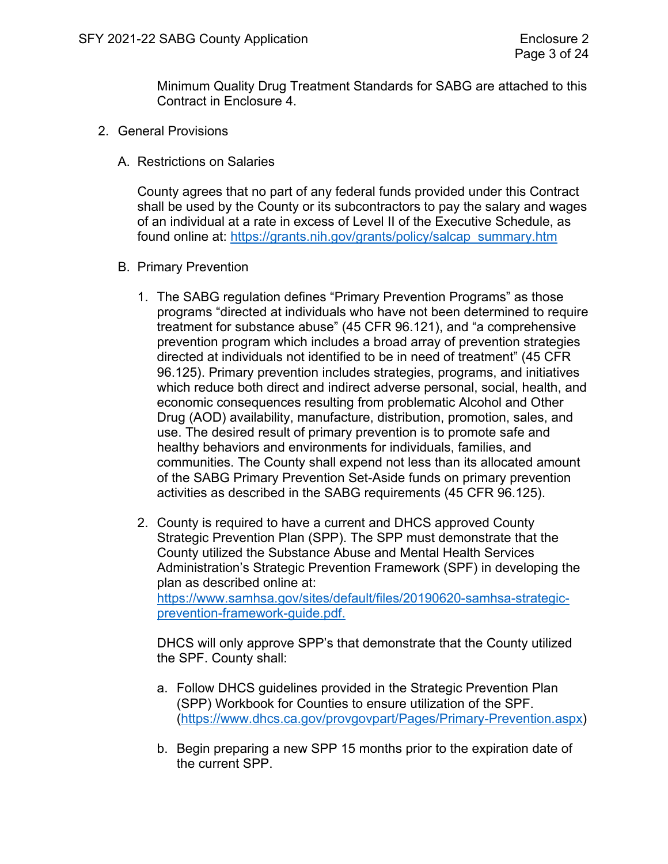Minimum Quality Drug Treatment Standards for SABG are attached to this Contract in Enclosure 4.

- 2. General Provisions
	- A. Restrictions on Salaries

County agrees that no part of any federal funds provided under this Contract shall be used by the County or its subcontractors to pay the salary and wages of an individual at a rate in excess of Level II of the Executive Schedule, as found online at: [https://grants.nih.gov/grants/policy/salcap\\_summary.htm](https://grants.nih.gov/grants/policy/salcap_summary.htm)

- B. Primary Prevention
	- 1. The SABG regulation defines "Primary Prevention Programs" as those programs "directed at individuals who have not been determined to require treatment for substance abuse" (45 CFR 96.121), and "a comprehensive prevention program which includes a broad array of prevention strategies directed at individuals not identified to be in need of treatment" (45 CFR 96.125). Primary prevention includes strategies, programs, and initiatives which reduce both direct and indirect adverse personal, social, health, and economic consequences resulting from problematic Alcohol and Other Drug (AOD) availability, manufacture, distribution, promotion, sales, and use. The desired result of primary prevention is to promote safe and healthy behaviors and environments for individuals, families, and communities. The County shall expend not less than its allocated amount of the SABG Primary Prevention Set-Aside funds on primary prevention activities as described in the SABG requirements (45 CFR 96.125).
	- 2. County is required to have a current and DHCS approved County Strategic Prevention Plan (SPP). The SPP must demonstrate that the County utilized the Substance Abuse and Mental Health Services Administration's Strategic Prevention Framework (SPF) in developing the plan as described online at: [https://www.samhsa.gov/sites/default/files/20190620-samhsa-strategic](https://www.samhsa.gov/sites/default/files/20190620-samhsa-strategic-prevention-framework-guide.pdf)[prevention-framework-guide.pdf.](https://www.samhsa.gov/sites/default/files/20190620-samhsa-strategic-prevention-framework-guide.pdf)

DHCS will only approve SPP's that demonstrate that the County utilized the SPF. County shall:

- a. Follow DHCS guidelines provided in the Strategic Prevention Plan (SPP) Workbook for Counties to ensure utilization of the SPF. [\(https://www.dhcs.ca.gov/provgovpart/Pages/Primary-Prevention.aspx\)](https://www.dhcs.ca.gov/provgovpart/Pages/Primary-Prevention.aspx)
- b. Begin preparing a new SPP 15 months prior to the expiration date of the current SPP.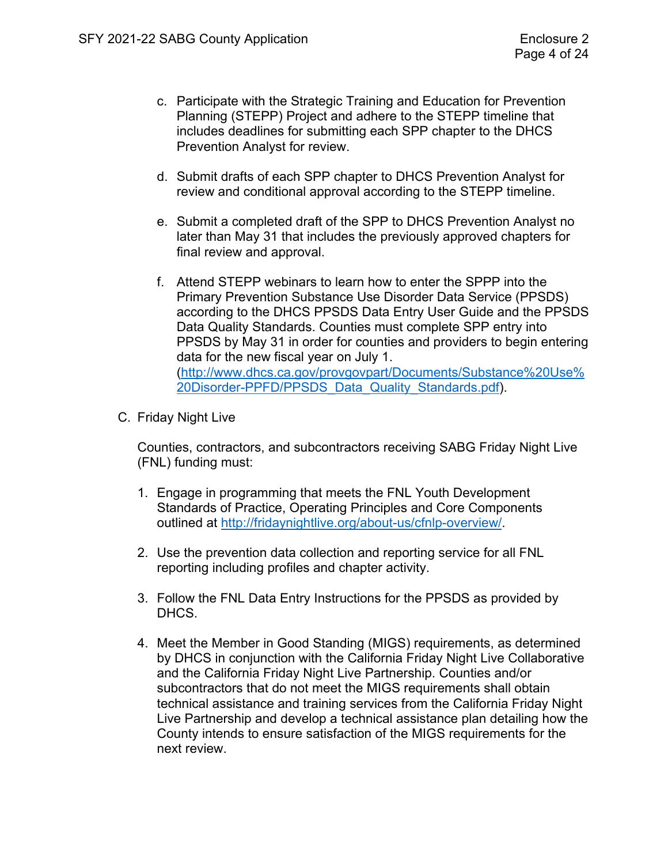- c. Participate with the Strategic Training and Education for Prevention Planning (STEPP) Project and adhere to the STEPP timeline that includes deadlines for submitting each SPP chapter to the DHCS Prevention Analyst for review.
- d. Submit drafts of each SPP chapter to DHCS Prevention Analyst for review and conditional approval according to the STEPP timeline.
- e. Submit a completed draft of the SPP to DHCS Prevention Analyst no later than May 31 that includes the previously approved chapters for final review and approval.
- f. Attend STEPP webinars to learn how to enter the SPPP into the Primary Prevention Substance Use Disorder Data Service (PPSDS) according to the DHCS PPSDS Data Entry User Guide and the PPSDS Data Quality Standards. Counties must complete SPP entry into PPSDS by May 31 in order for counties and providers to begin entering data for the new fiscal year on July 1. [\(http://www.dhcs.ca.gov/provgovpart/Documents/Substance%20Use%](http://www.dhcs.ca.gov/provgovpart/Documents/Substance%20Use%20Disorder-PPFD/PPSDS_Data_Quality_Standards.pdf) [20Disorder-PPFD/PPSDS\\_Data\\_Quality\\_Standards.pdf\)](http://www.dhcs.ca.gov/provgovpart/Documents/Substance%20Use%20Disorder-PPFD/PPSDS_Data_Quality_Standards.pdf).
- C. Friday Night Live

Counties, contractors, and subcontractors receiving SABG Friday Night Live (FNL) funding must:

- 1. Engage in programming that meets the FNL Youth Development Standards of Practice, Operating Principles and Core Components outlined at [http://fridaynightlive.org/about-us/cfnlp-overview/.](http://fridaynightlive.org/about-us/cfnlp-overview/)
- 2. Use the prevention data collection and reporting service for all FNL reporting including profiles and chapter activity.
- 3. Follow the FNL Data Entry Instructions for the PPSDS as provided by DHCS.
- 4. Meet the Member in Good Standing (MIGS) requirements, as determined by DHCS in conjunction with the California Friday Night Live Collaborative and the California Friday Night Live Partnership. Counties and/or subcontractors that do not meet the MIGS requirements shall obtain technical assistance and training services from the California Friday Night Live Partnership and develop a technical assistance plan detailing how the County intends to ensure satisfaction of the MIGS requirements for the next review.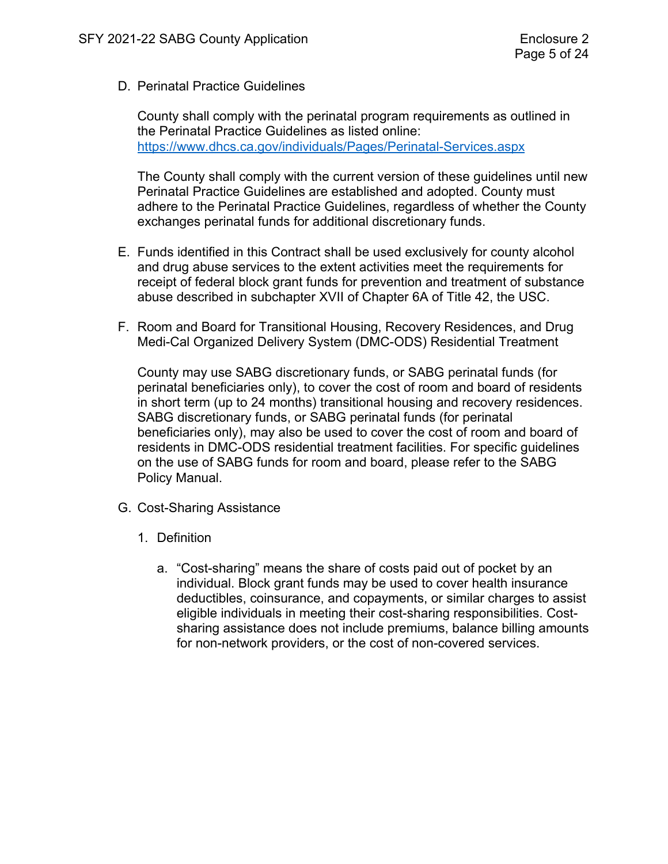## D. Perinatal Practice Guidelines

County shall comply with the perinatal program requirements as outlined in the Perinatal Practice Guidelines as listed online: <https://www.dhcs.ca.gov/individuals/Pages/Perinatal-Services.aspx>

The County shall comply with the current version of these guidelines until new Perinatal Practice Guidelines are established and adopted. County must adhere to the Perinatal Practice Guidelines, regardless of whether the County exchanges perinatal funds for additional discretionary funds.

- E. Funds identified in this Contract shall be used exclusively for county alcohol and drug abuse services to the extent activities meet the requirements for receipt of federal block grant funds for prevention and treatment of substance abuse described in subchapter XVII of Chapter 6A of Title 42, the USC.
- F. Room and Board for Transitional Housing, Recovery Residences, and Drug Medi-Cal Organized Delivery System (DMC-ODS) Residential Treatment

County may use SABG discretionary funds, or SABG perinatal funds (for perinatal beneficiaries only), to cover the cost of room and board of residents in short term (up to 24 months) transitional housing and recovery residences. SABG discretionary funds, or SABG perinatal funds (for perinatal beneficiaries only), may also be used to cover the cost of room and board of residents in DMC-ODS residential treatment facilities. For specific guidelines on the use of SABG funds for room and board, please refer to the SABG Policy Manual.

- G. Cost-Sharing Assistance
	- 1. Definition
		- a. "Cost-sharing" means the share of costs paid out of pocket by an individual. Block grant funds may be used to cover health insurance deductibles, coinsurance, and copayments, or similar charges to assist eligible individuals in meeting their cost-sharing responsibilities. Costsharing assistance does not include premiums, balance billing amounts for non-network providers, or the cost of non-covered services.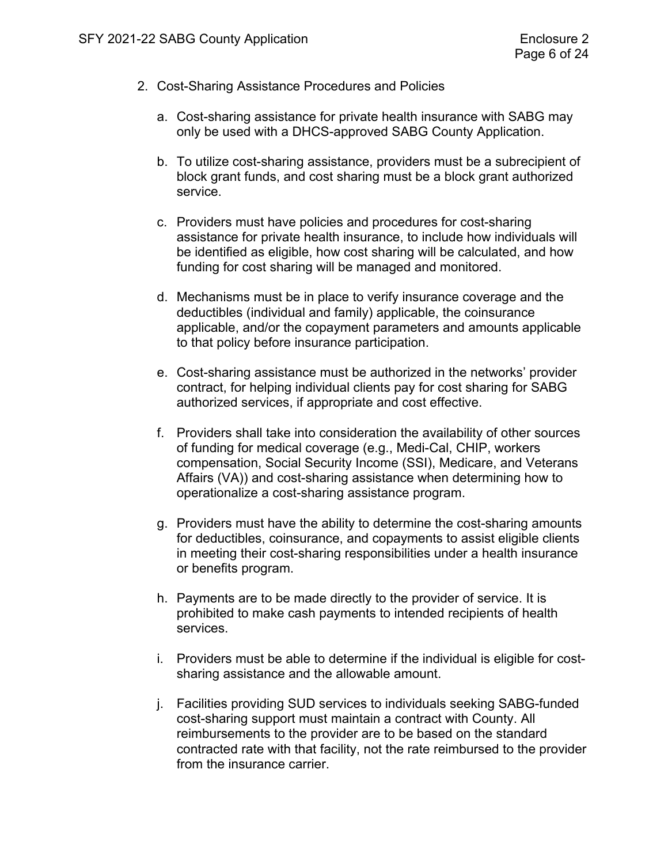- 2. Cost-Sharing Assistance Procedures and Policies
	- a. Cost-sharing assistance for private health insurance with SABG may only be used with a DHCS-approved SABG County Application.
	- b. To utilize cost-sharing assistance, providers must be a subrecipient of block grant funds, and cost sharing must be a block grant authorized service.
	- c. Providers must have policies and procedures for cost-sharing assistance for private health insurance, to include how individuals will be identified as eligible, how cost sharing will be calculated, and how funding for cost sharing will be managed and monitored.
	- d. Mechanisms must be in place to verify insurance coverage and the deductibles (individual and family) applicable, the coinsurance applicable, and/or the copayment parameters and amounts applicable to that policy before insurance participation.
	- e. Cost-sharing assistance must be authorized in the networks' provider contract, for helping individual clients pay for cost sharing for SABG authorized services, if appropriate and cost effective.
	- f. Providers shall take into consideration the availability of other sources of funding for medical coverage (e.g., Medi-Cal, CHIP, workers compensation, Social Security Income (SSI), Medicare, and Veterans Affairs (VA)) and cost-sharing assistance when determining how to operationalize a cost-sharing assistance program.
	- g. Providers must have the ability to determine the cost-sharing amounts for deductibles, coinsurance, and copayments to assist eligible clients in meeting their cost-sharing responsibilities under a health insurance or benefits program.
	- h. Payments are to be made directly to the provider of service. It is prohibited to make cash payments to intended recipients of health services.
	- i. Providers must be able to determine if the individual is eligible for costsharing assistance and the allowable amount.
	- j. Facilities providing SUD services to individuals seeking SABG-funded cost-sharing support must maintain a contract with County. All reimbursements to the provider are to be based on the standard contracted rate with that facility, not the rate reimbursed to the provider from the insurance carrier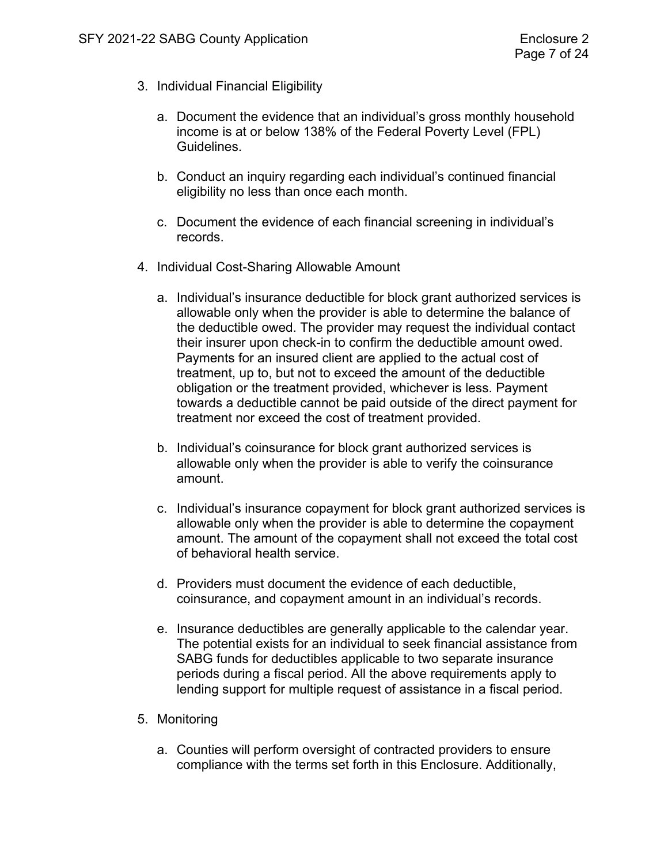- 3. Individual Financial Eligibility
	- a. Document the evidence that an individual's gross monthly household income is at or below 138% of the Federal Poverty Level (FPL) Guidelines.
	- b. Conduct an inquiry regarding each individual's continued financial eligibility no less than once each month.
	- c. Document the evidence of each financial screening in individual's records.
- 4. Individual Cost-Sharing Allowable Amount
	- a. Individual's insurance deductible for block grant authorized services is allowable only when the provider is able to determine the balance of the deductible owed. The provider may request the individual contact their insurer upon check-in to confirm the deductible amount owed. Payments for an insured client are applied to the actual cost of treatment, up to, but not to exceed the amount of the deductible obligation or the treatment provided, whichever is less. Payment towards a deductible cannot be paid outside of the direct payment for treatment nor exceed the cost of treatment provided.
	- b. Individual's coinsurance for block grant authorized services is allowable only when the provider is able to verify the coinsurance amount.
	- c. Individual's insurance copayment for block grant authorized services is allowable only when the provider is able to determine the copayment amount. The amount of the copayment shall not exceed the total cost of behavioral health service.
	- d. Providers must document the evidence of each deductible, coinsurance, and copayment amount in an individual's records.
	- e. Insurance deductibles are generally applicable to the calendar year. The potential exists for an individual to seek financial assistance from SABG funds for deductibles applicable to two separate insurance periods during a fiscal period. All the above requirements apply to lending support for multiple request of assistance in a fiscal period.
- 5. Monitoring
	- a. Counties will perform oversight of contracted providers to ensure compliance with the terms set forth in this Enclosure. Additionally,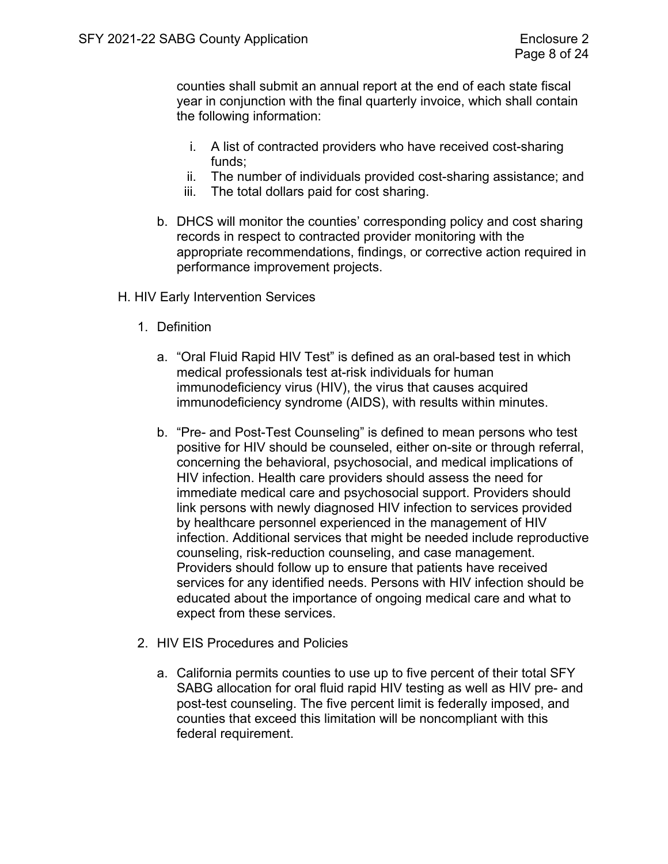counties shall submit an annual report at the end of each state fiscal year in conjunction with the final quarterly invoice, which shall contain the following information:

- i. A list of contracted providers who have received cost-sharing funds;
- ii. The number of individuals provided cost-sharing assistance; and
- iii. The total dollars paid for cost sharing.
- b. DHCS will monitor the counties' corresponding policy and cost sharing records in respect to contracted provider monitoring with the appropriate recommendations, findings, or corrective action required in performance improvement projects.
- H. HIV Early Intervention Services
	- 1. Definition
		- a. "Oral Fluid Rapid HIV Test" is defined as an oral-based test in which medical professionals test at-risk individuals for human immunodeficiency virus (HIV), the virus that causes acquired immunodeficiency syndrome (AIDS), with results within minutes.
		- b. "Pre- and Post-Test Counseling" is defined to mean persons who test positive for HIV should be counseled, either on-site or through referral, concerning the behavioral, psychosocial, and medical implications of HIV infection. Health care providers should assess the need for immediate medical care and psychosocial support. Providers should link persons with newly diagnosed HIV infection to services provided by healthcare personnel experienced in the management of HIV infection. Additional services that might be needed include reproductive counseling, risk-reduction counseling, and case management. Providers should follow up to ensure that patients have received services for any identified needs. Persons with HIV infection should be educated about the importance of ongoing medical care and what to expect from these services.
	- 2. HIV EIS Procedures and Policies
		- a. California permits counties to use up to five percent of their total SFY SABG allocation for oral fluid rapid HIV testing as well as HIV pre- and post-test counseling. The five percent limit is federally imposed, and counties that exceed this limitation will be noncompliant with this federal requirement.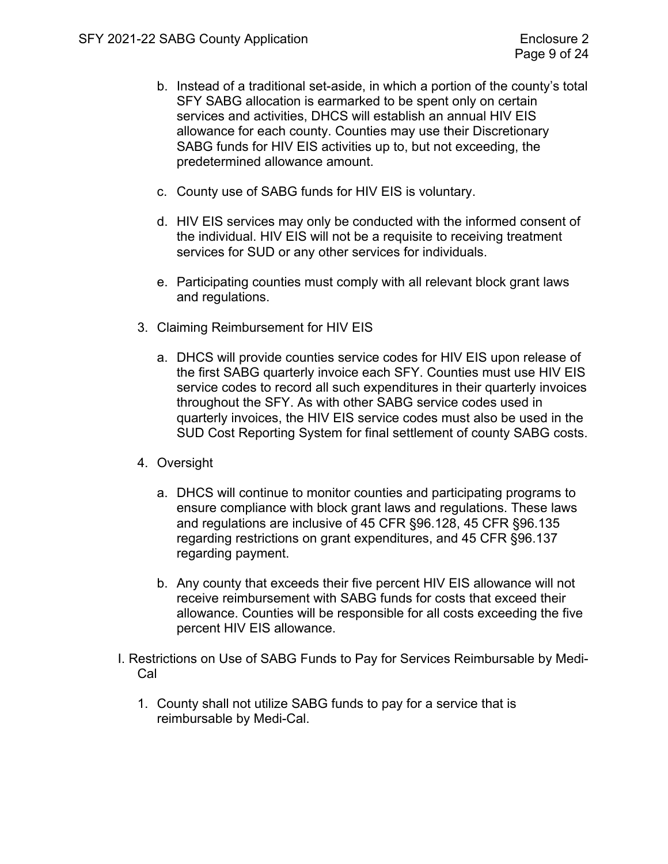- b. Instead of a traditional set-aside, in which a portion of the county's total SFY SABG allocation is earmarked to be spent only on certain services and activities, DHCS will establish an annual HIV EIS allowance for each county. Counties may use their Discretionary SABG funds for HIV EIS activities up to, but not exceeding, the predetermined allowance amount.
- c. County use of SABG funds for HIV EIS is voluntary.
- d. HIV EIS services may only be conducted with the informed consent of the individual. HIV EIS will not be a requisite to receiving treatment services for SUD or any other services for individuals.
- e. Participating counties must comply with all relevant block grant laws and regulations.
- 3. Claiming Reimbursement for HIV EIS
	- a. DHCS will provide counties service codes for HIV EIS upon release of the first SABG quarterly invoice each SFY. Counties must use HIV EIS service codes to record all such expenditures in their quarterly invoices throughout the SFY. As with other SABG service codes used in quarterly invoices, the HIV EIS service codes must also be used in the SUD Cost Reporting System for final settlement of county SABG costs.
- 4. Oversight
	- a. DHCS will continue to monitor counties and participating programs to ensure compliance with block grant laws and regulations. These laws and regulations are inclusive of 45 CFR §96.128, 45 CFR §96.135 regarding restrictions on grant expenditures, and 45 CFR §96.137 regarding payment.
	- b. Any county that exceeds their five percent HIV EIS allowance will not receive reimbursement with SABG funds for costs that exceed their allowance. Counties will be responsible for all costs exceeding the five percent HIV EIS allowance.
- I. Restrictions on Use of SABG Funds to Pay for Services Reimbursable by Medi-Cal
	- 1. County shall not utilize SABG funds to pay for a service that is reimbursable by Medi-Cal.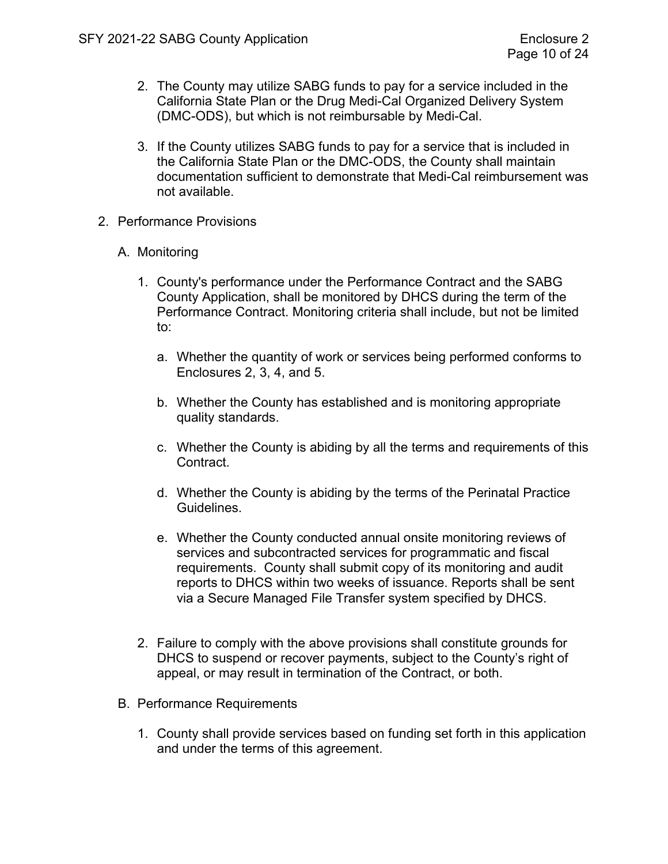- 2. The County may utilize SABG funds to pay for a service included in the California State Plan or the Drug Medi-Cal Organized Delivery System (DMC-ODS), but which is not reimbursable by Medi-Cal.
- 3. If the County utilizes SABG funds to pay for a service that is included in the California State Plan or the DMC-ODS, the County shall maintain documentation sufficient to demonstrate that Medi-Cal reimbursement was not available.
- 2. Performance Provisions
	- A. Monitoring
		- 1. County's performance under the Performance Contract and the SABG County Application, shall be monitored by DHCS during the term of the Performance Contract. Monitoring criteria shall include, but not be limited to:
			- a. Whether the quantity of work or services being performed conforms to Enclosures 2, 3, 4, and 5.
			- b. Whether the County has established and is monitoring appropriate quality standards.
			- c. Whether the County is abiding by all the terms and requirements of this Contract.
			- d. Whether the County is abiding by the terms of the Perinatal Practice Guidelines.
			- e. Whether the County conducted annual onsite monitoring reviews of services and subcontracted services for programmatic and fiscal requirements. County shall submit copy of its monitoring and audit reports to DHCS within two weeks of issuance. Reports shall be sent via a Secure Managed File Transfer system specified by DHCS.
		- 2. Failure to comply with the above provisions shall constitute grounds for DHCS to suspend or recover payments, subject to the County's right of appeal, or may result in termination of the Contract, or both.
	- B. Performance Requirements
		- 1. County shall provide services based on funding set forth in this application and under the terms of this agreement.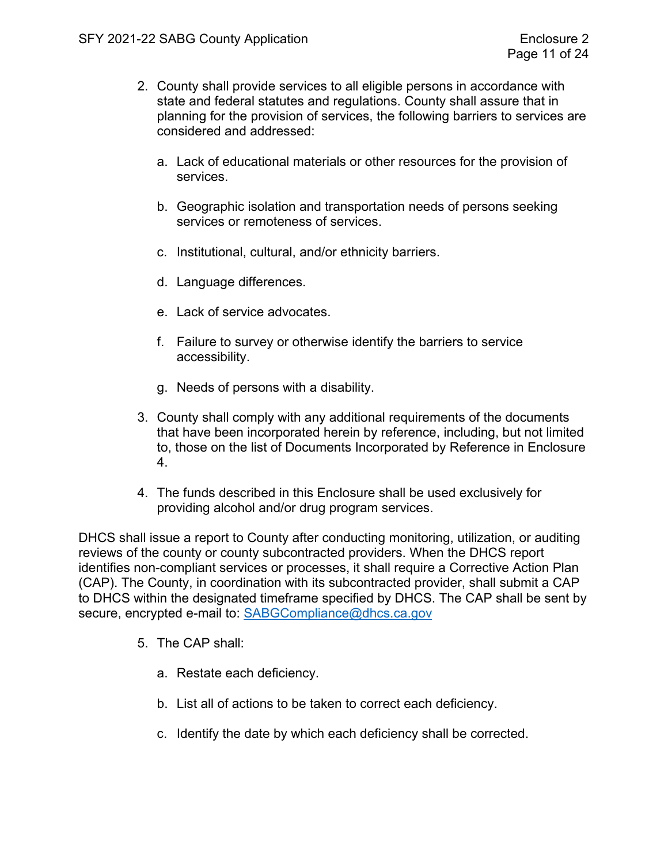- 2. County shall provide services to all eligible persons in accordance with state and federal statutes and regulations. County shall assure that in planning for the provision of services, the following barriers to services are considered and addressed:
	- a. Lack of educational materials or other resources for the provision of services.
	- b. Geographic isolation and transportation needs of persons seeking services or remoteness of services.
	- c. Institutional, cultural, and/or ethnicity barriers.
	- d. Language differences.
	- e. Lack of service advocates.
	- f. Failure to survey or otherwise identify the barriers to service accessibility.
	- g. Needs of persons with a disability.
- 3. County shall comply with any additional requirements of the documents that have been incorporated herein by reference, including, but not limited to, those on the list of Documents Incorporated by Reference in Enclosure 4.
- 4. The funds described in this Enclosure shall be used exclusively for providing alcohol and/or drug program services.

DHCS shall issue a report to County after conducting monitoring, utilization, or auditing reviews of the county or county subcontracted providers. When the DHCS report identifies non-compliant services or processes, it shall require a Corrective Action Plan (CAP). The County, in coordination with its subcontracted provider, shall submit a CAP to DHCS within the designated timeframe specified by DHCS. The CAP shall be sent by secure, encrypted e-mail to: [SABGCompliance@dhcs.ca.gov](mailto:SABGCompliance@dhcs.ca.gov)

- 5. The CAP shall:
	- a. Restate each deficiency.
	- b. List all of actions to be taken to correct each deficiency.
	- c. Identify the date by which each deficiency shall be corrected.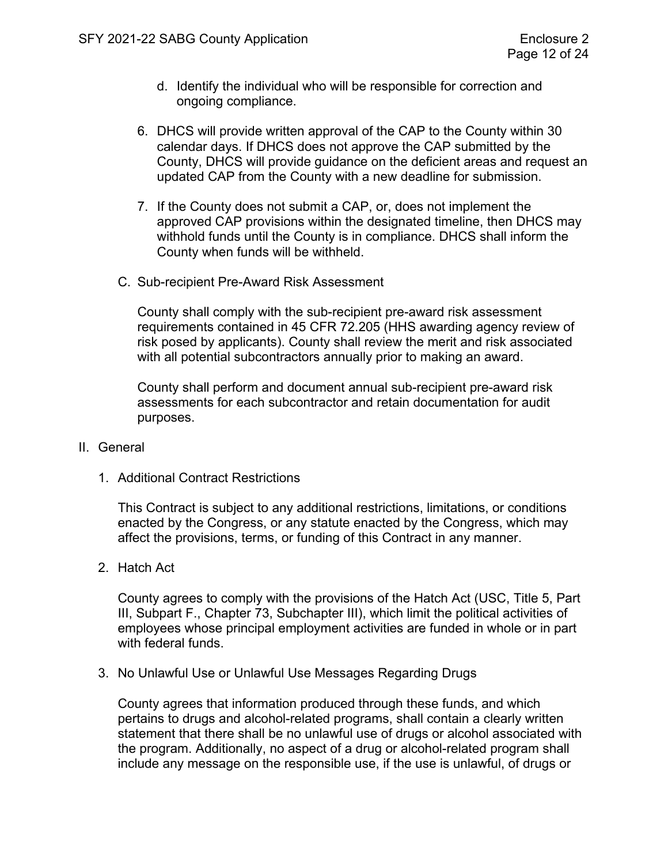- d. Identify the individual who will be responsible for correction and ongoing compliance.
- 6. DHCS will provide written approval of the CAP to the County within 30 calendar days. If DHCS does not approve the CAP submitted by the County, DHCS will provide guidance on the deficient areas and request an updated CAP from the County with a new deadline for submission.
- 7. If the County does not submit a CAP, or, does not implement the approved CAP provisions within the designated timeline, then DHCS may withhold funds until the County is in compliance. DHCS shall inform the County when funds will be withheld.
- C. Sub-recipient Pre-Award Risk Assessment

County shall comply with the sub-recipient pre-award risk assessment requirements contained in 45 CFR 72.205 (HHS awarding agency review of risk posed by applicants). County shall review the merit and risk associated with all potential subcontractors annually prior to making an award.

County shall perform and document annual sub-recipient pre-award risk assessments for each subcontractor and retain documentation for audit purposes.

## II. General

1. Additional Contract Restrictions

This Contract is subject to any additional restrictions, limitations, or conditions enacted by the Congress, or any statute enacted by the Congress, which may affect the provisions, terms, or funding of this Contract in any manner.

2. Hatch Act

County agrees to comply with the provisions of the Hatch Act (USC, Title 5, Part III, Subpart F., Chapter 73, Subchapter III), which limit the political activities of employees whose principal employment activities are funded in whole or in part with federal funds.

3. No Unlawful Use or Unlawful Use Messages Regarding Drugs

County agrees that information produced through these funds, and which pertains to drugs and alcohol-related programs, shall contain a clearly written statement that there shall be no unlawful use of drugs or alcohol associated with the program. Additionally, no aspect of a drug or alcohol-related program shall include any message on the responsible use, if the use is unlawful, of drugs or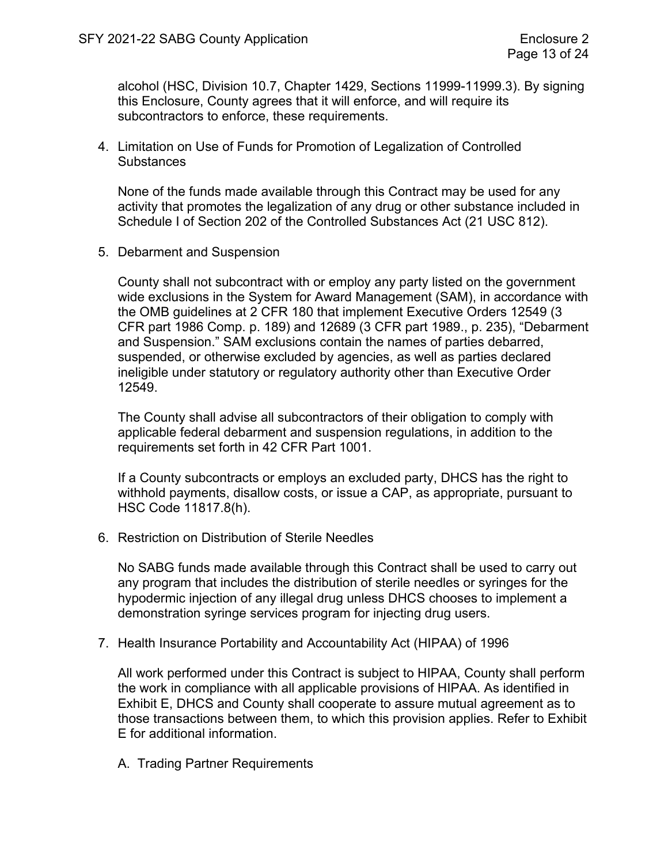alcohol (HSC, Division 10.7, Chapter 1429, Sections 11999-11999.3). By signing this Enclosure, County agrees that it will enforce, and will require its subcontractors to enforce, these requirements.

4. Limitation on Use of Funds for Promotion of Legalization of Controlled **Substances** 

None of the funds made available through this Contract may be used for any activity that promotes the legalization of any drug or other substance included in Schedule I of Section 202 of the Controlled Substances Act (21 USC 812).

5. Debarment and Suspension

County shall not subcontract with or employ any party listed on the government wide exclusions in the System for Award Management (SAM), in accordance with the OMB guidelines at 2 CFR 180 that implement Executive Orders 12549 (3 CFR part 1986 Comp. p. 189) and 12689 (3 CFR part 1989., p. 235), "Debarment and Suspension." SAM exclusions contain the names of parties debarred, suspended, or otherwise excluded by agencies, as well as parties declared ineligible under statutory or regulatory authority other than Executive Order 12549.

The County shall advise all subcontractors of their obligation to comply with applicable federal debarment and suspension regulations, in addition to the requirements set forth in 42 CFR Part 1001.

If a County subcontracts or employs an excluded party, DHCS has the right to withhold payments, disallow costs, or issue a CAP, as appropriate, pursuant to HSC Code 11817.8(h).

6. Restriction on Distribution of Sterile Needles

No SABG funds made available through this Contract shall be used to carry out any program that includes the distribution of sterile needles or syringes for the hypodermic injection of any illegal drug unless DHCS chooses to implement a demonstration syringe services program for injecting drug users.

7. Health Insurance Portability and Accountability Act (HIPAA) of 1996

All work performed under this Contract is subject to HIPAA, County shall perform the work in compliance with all applicable provisions of HIPAA. As identified in Exhibit E, DHCS and County shall cooperate to assure mutual agreement as to those transactions between them, to which this provision applies. Refer to Exhibit E for additional information.

A. Trading Partner Requirements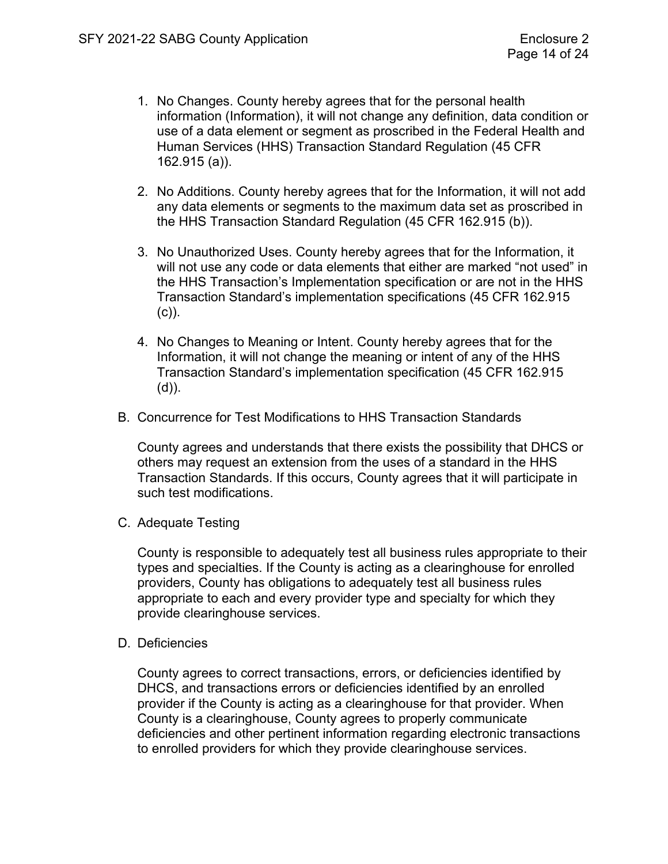- 1. No Changes. County hereby agrees that for the personal health information (Information), it will not change any definition, data condition or use of a data element or segment as proscribed in the Federal Health and Human Services (HHS) Transaction Standard Regulation (45 CFR 162.915 (a)).
- 2. No Additions. County hereby agrees that for the Information, it will not add any data elements or segments to the maximum data set as proscribed in the HHS Transaction Standard Regulation (45 CFR 162.915 (b)).
- 3. No Unauthorized Uses. County hereby agrees that for the Information, it will not use any code or data elements that either are marked "not used" in the HHS Transaction's Implementation specification or are not in the HHS Transaction Standard's implementation specifications (45 CFR 162.915 (c)).
- 4. No Changes to Meaning or Intent. County hereby agrees that for the Information, it will not change the meaning or intent of any of the HHS Transaction Standard's implementation specification (45 CFR 162.915 (d)).
- B. Concurrence for Test Modifications to HHS Transaction Standards

County agrees and understands that there exists the possibility that DHCS or others may request an extension from the uses of a standard in the HHS Transaction Standards. If this occurs, County agrees that it will participate in such test modifications.

C. Adequate Testing

County is responsible to adequately test all business rules appropriate to their types and specialties. If the County is acting as a clearinghouse for enrolled providers, County has obligations to adequately test all business rules appropriate to each and every provider type and specialty for which they provide clearinghouse services.

D. Deficiencies

County agrees to correct transactions, errors, or deficiencies identified by DHCS, and transactions errors or deficiencies identified by an enrolled provider if the County is acting as a clearinghouse for that provider. When County is a clearinghouse, County agrees to properly communicate deficiencies and other pertinent information regarding electronic transactions to enrolled providers for which they provide clearinghouse services.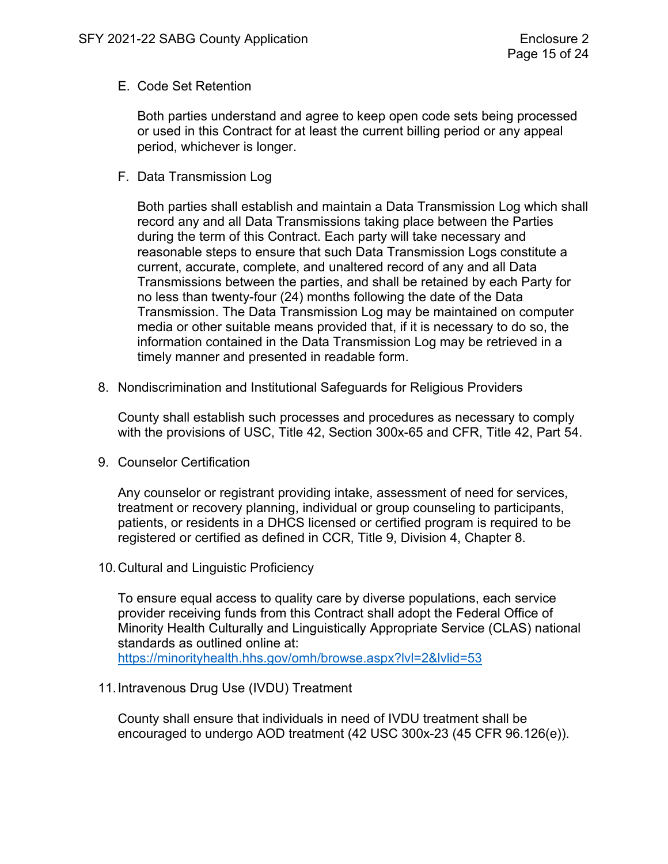E. Code Set Retention

Both parties understand and agree to keep open code sets being processed or used in this Contract for at least the current billing period or any appeal period, whichever is longer.

F. Data Transmission Log

Both parties shall establish and maintain a Data Transmission Log which shall record any and all Data Transmissions taking place between the Parties during the term of this Contract. Each party will take necessary and reasonable steps to ensure that such Data Transmission Logs constitute a current, accurate, complete, and unaltered record of any and all Data Transmissions between the parties, and shall be retained by each Party for no less than twenty-four (24) months following the date of the Data Transmission. The Data Transmission Log may be maintained on computer media or other suitable means provided that, if it is necessary to do so, the information contained in the Data Transmission Log may be retrieved in a timely manner and presented in readable form.

8. Nondiscrimination and Institutional Safeguards for Religious Providers

County shall establish such processes and procedures as necessary to comply with the provisions of USC, Title 42, Section 300x-65 and CFR, Title 42, Part 54.

9. Counselor Certification

Any counselor or registrant providing intake, assessment of need for services, treatment or recovery planning, individual or group counseling to participants, patients, or residents in a DHCS licensed or certified program is required to be registered or certified as defined in CCR, Title 9, Division 4, Chapter 8.

10.Cultural and Linguistic Proficiency

To ensure equal access to quality care by diverse populations, each service provider receiving funds from this Contract shall adopt the Federal Office of Minority Health Culturally and Linguistically Appropriate Service (CLAS) national standards as outlined online at: <https://minorityhealth.hhs.gov/omh/browse.aspx?lvl=2&lvlid=53>

11.Intravenous Drug Use (IVDU) Treatment

County shall ensure that individuals in need of IVDU treatment shall be encouraged to undergo AOD treatment (42 USC 300x-23 (45 CFR 96.126(e)).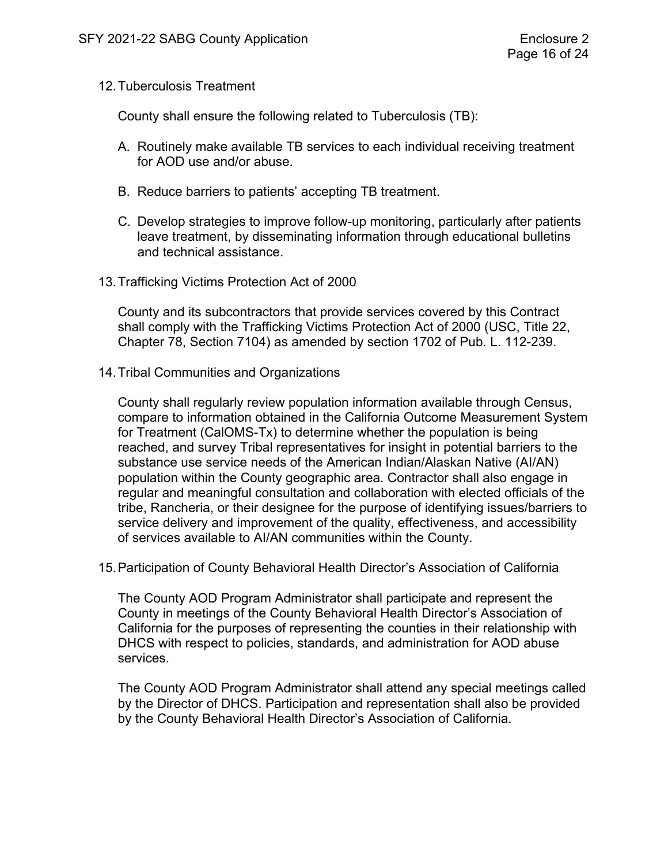12.Tuberculosis Treatment

County shall ensure the following related to Tuberculosis (TB):

- A. Routinely make available TB services to each individual receiving treatment for AOD use and/or abuse.
- B. Reduce barriers to patients' accepting TB treatment.
- C. Develop strategies to improve follow-up monitoring, particularly after patients leave treatment, by disseminating information through educational bulletins and technical assistance.
- 13.Trafficking Victims Protection Act of 2000

County and its subcontractors that provide services covered by this Contract shall comply with the Trafficking Victims Protection Act of 2000 (USC, Title 22, Chapter 78, Section 7104) as amended by section 1702 of Pub. L. 112-239.

14.Tribal Communities and Organizations

County shall regularly review population information available through Census, compare to information obtained in the California Outcome Measurement System for Treatment (CalOMS-Tx) to determine whether the population is being reached, and survey Tribal representatives for insight in potential barriers to the substance use service needs of the American Indian/Alaskan Native (AI/AN) population within the County geographic area. Contractor shall also engage in regular and meaningful consultation and collaboration with elected officials of the tribe, Rancheria, or their designee for the purpose of identifying issues/barriers to service delivery and improvement of the quality, effectiveness, and accessibility of services available to AI/AN communities within the County.

15.Participation of County Behavioral Health Director's Association of California

The County AOD Program Administrator shall participate and represent the County in meetings of the County Behavioral Health Director's Association of California for the purposes of representing the counties in their relationship with DHCS with respect to policies, standards, and administration for AOD abuse services.

The County AOD Program Administrator shall attend any special meetings called by the Director of DHCS. Participation and representation shall also be provided by the County Behavioral Health Director's Association of California.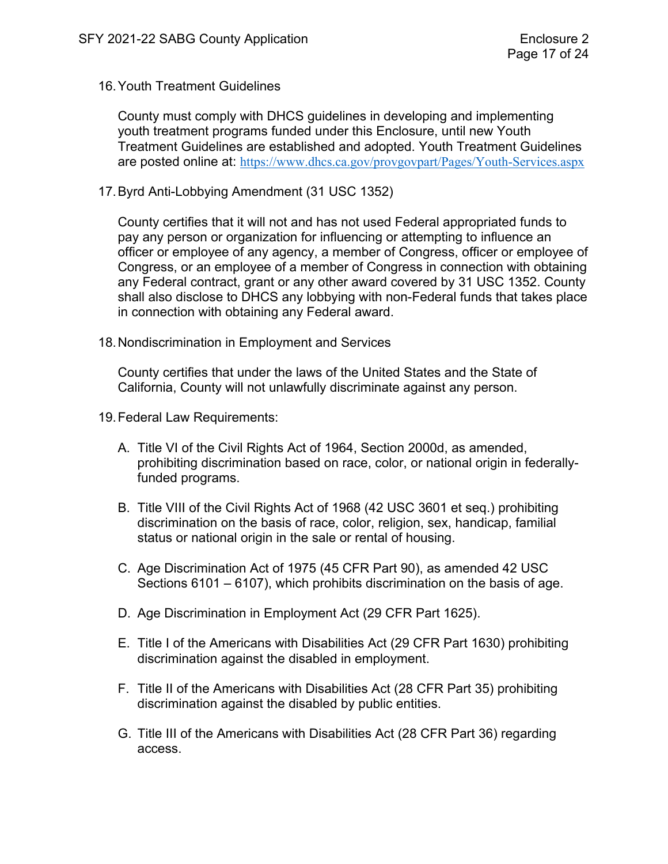16.Youth Treatment Guidelines

County must comply with DHCS guidelines in developing and implementing youth treatment programs funded under this Enclosure, until new Youth Treatment Guidelines are established and adopted. Youth Treatment Guidelines are posted online at: [https://www.dhcs.ca.gov/provgovpart/Pages/Youth-Services.aspx](https://gcc02.safelinks.protection.outlook.com/?url=https%3A%2F%2Fwww.dhcs.ca.gov%2Fprovgovpart%2FPages%2FYouth-Services.aspx&data=04%7C01%7CRobert.Bell%40dhcs.ca.gov%7Cf54813eaf8924a50d24d08d8eb0282bb%7C265c2dcd2a6e43aab2e826421a8c8526%7C0%7C0%7C637517743330727941%7CUnknown%7CTWFpbGZsb3d8eyJWIjoiMC4wLjAwMDAiLCJQIjoiV2luMzIiLCJBTiI6Ik1haWwiLCJXVCI6Mn0%3D%7C1000&sdata=3OJW11KmIidlSqPpQJl0brovWk5ZVyq82lPl7yrcbJ4%3D&reserved=0)

17.Byrd Anti-Lobbying Amendment (31 USC 1352)

County certifies that it will not and has not used Federal appropriated funds to pay any person or organization for influencing or attempting to influence an officer or employee of any agency, a member of Congress, officer or employee of Congress, or an employee of a member of Congress in connection with obtaining any Federal contract, grant or any other award covered by 31 USC 1352. County shall also disclose to DHCS any lobbying with non-Federal funds that takes place in connection with obtaining any Federal award.

18.Nondiscrimination in Employment and Services

County certifies that under the laws of the United States and the State of California, County will not unlawfully discriminate against any person.

- 19.Federal Law Requirements:
	- A. Title VI of the Civil Rights Act of 1964, Section 2000d, as amended, prohibiting discrimination based on race, color, or national origin in federallyfunded programs.
	- B. Title VIII of the Civil Rights Act of 1968 (42 USC 3601 et seq.) prohibiting discrimination on the basis of race, color, religion, sex, handicap, familial status or national origin in the sale or rental of housing.
	- C. Age Discrimination Act of 1975 (45 CFR Part 90), as amended 42 USC Sections 6101 – 6107), which prohibits discrimination on the basis of age.
	- D. Age Discrimination in Employment Act (29 CFR Part 1625).
	- E. Title I of the Americans with Disabilities Act (29 CFR Part 1630) prohibiting discrimination against the disabled in employment.
	- F. Title II of the Americans with Disabilities Act (28 CFR Part 35) prohibiting discrimination against the disabled by public entities.
	- G. Title III of the Americans with Disabilities Act (28 CFR Part 36) regarding access.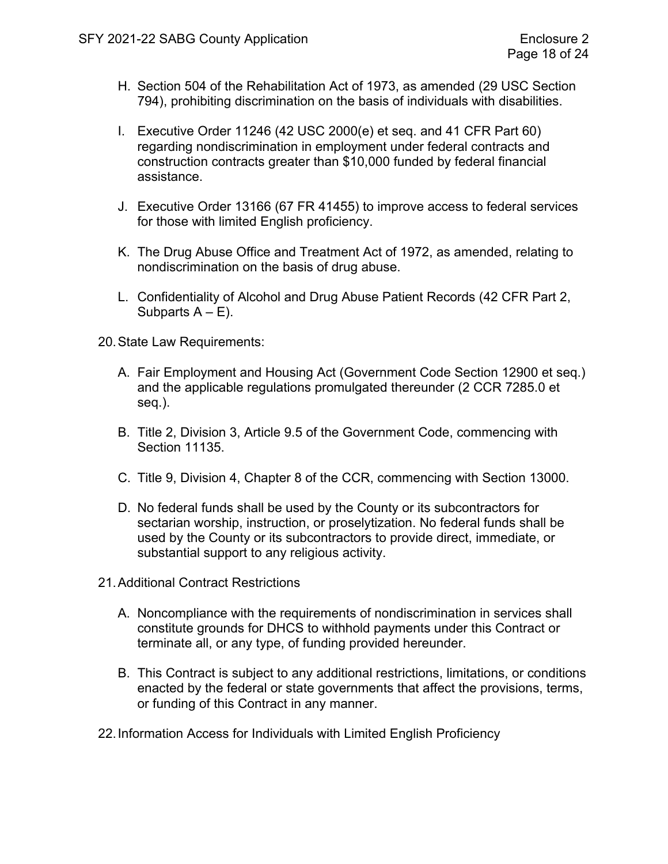- H. Section 504 of the Rehabilitation Act of 1973, as amended (29 USC Section 794), prohibiting discrimination on the basis of individuals with disabilities.
- I. Executive Order 11246 (42 USC 2000(e) et seq. and 41 CFR Part 60) regarding nondiscrimination in employment under federal contracts and construction contracts greater than \$10,000 funded by federal financial assistance.
- J. Executive Order 13166 (67 FR 41455) to improve access to federal services for those with limited English proficiency.
- K. The Drug Abuse Office and Treatment Act of 1972, as amended, relating to nondiscrimination on the basis of drug abuse.
- L. Confidentiality of Alcohol and Drug Abuse Patient Records (42 CFR Part 2, Subparts  $A - E$ ).

20.State Law Requirements:

- A. Fair Employment and Housing Act (Government Code Section 12900 et seq.) and the applicable regulations promulgated thereunder (2 CCR 7285.0 et seq.).
- B. Title 2, Division 3, Article 9.5 of the Government Code, commencing with Section 11135.
- C. Title 9, Division 4, Chapter 8 of the CCR, commencing with Section 13000.
- D. No federal funds shall be used by the County or its subcontractors for sectarian worship, instruction, or proselytization. No federal funds shall be used by the County or its subcontractors to provide direct, immediate, or substantial support to any religious activity.
- 21.Additional Contract Restrictions
	- A. Noncompliance with the requirements of nondiscrimination in services shall constitute grounds for DHCS to withhold payments under this Contract or terminate all, or any type, of funding provided hereunder.
	- B. This Contract is subject to any additional restrictions, limitations, or conditions enacted by the federal or state governments that affect the provisions, terms, or funding of this Contract in any manner.
- 22.Information Access for Individuals with Limited English Proficiency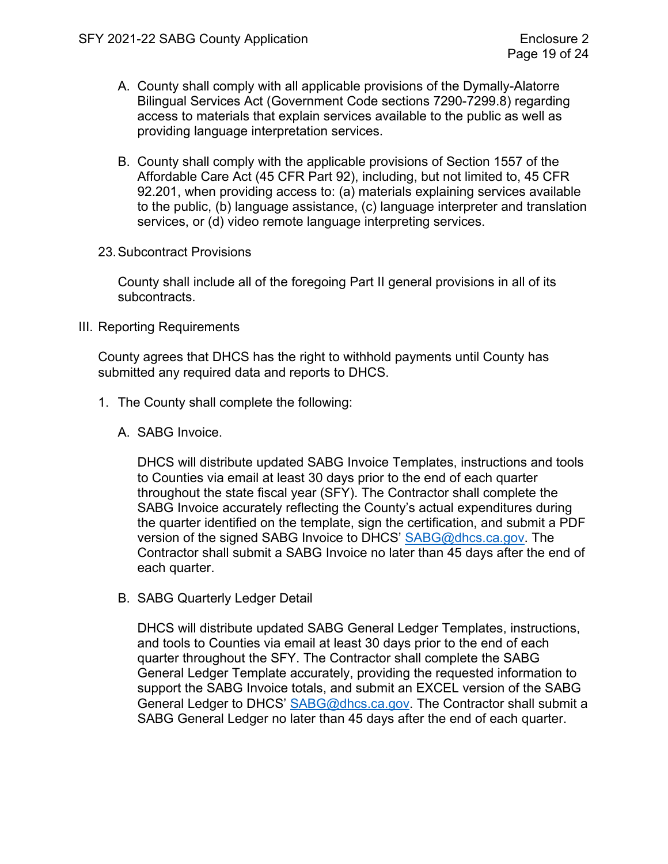- A. County shall comply with all applicable provisions of the Dymally-Alatorre Bilingual Services Act (Government Code sections 7290-7299.8) regarding access to materials that explain services available to the public as well as providing language interpretation services.
- B. County shall comply with the applicable provisions of Section 1557 of the Affordable Care Act (45 CFR Part 92), including, but not limited to, 45 CFR 92.201, when providing access to: (a) materials explaining services available to the public, (b) language assistance, (c) language interpreter and translation services, or (d) video remote language interpreting services.
- 23.Subcontract Provisions

County shall include all of the foregoing Part II general provisions in all of its subcontracts.

III. Reporting Requirements

County agrees that DHCS has the right to withhold payments until County has submitted any required data and reports to DHCS.

- 1. The County shall complete the following:
	- A. SABG Invoice.

DHCS will distribute updated SABG Invoice Templates, instructions and tools to Counties via email at least 30 days prior to the end of each quarter throughout the state fiscal year (SFY). The Contractor shall complete the SABG Invoice accurately reflecting the County's actual expenditures during the quarter identified on the template, sign the certification, and submit a PDF version of the signed SABG Invoice to DHCS' [SABG@dhcs.ca.gov.](mailto:SABG@dhcs.ca.gov) The Contractor shall submit a SABG Invoice no later than 45 days after the end of each quarter.

B. SABG Quarterly Ledger Detail

DHCS will distribute updated SABG General Ledger Templates, instructions, and tools to Counties via email at least 30 days prior to the end of each quarter throughout the SFY. The Contractor shall complete the SABG General Ledger Template accurately, providing the requested information to support the SABG Invoice totals, and submit an EXCEL version of the SABG General Ledger to DHCS' [SABG@dhcs.ca.gov.](mailto:SABG@dhcs.ca.gov) The Contractor shall submit a SABG General Ledger no later than 45 days after the end of each quarter.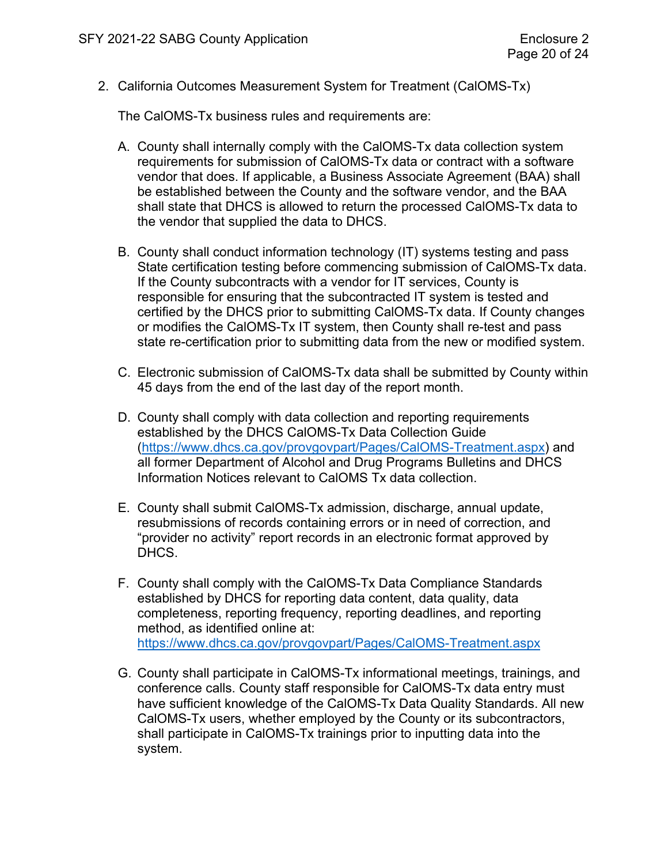2. California Outcomes Measurement System for Treatment (CalOMS-Tx)

The CalOMS-Tx business rules and requirements are:

- A. County shall internally comply with the CalOMS-Tx data collection system requirements for submission of CalOMS-Tx data or contract with a software vendor that does. If applicable, a Business Associate Agreement (BAA) shall be established between the County and the software vendor, and the BAA shall state that DHCS is allowed to return the processed CalOMS-Tx data to the vendor that supplied the data to DHCS.
- B. County shall conduct information technology (IT) systems testing and pass State certification testing before commencing submission of CalOMS-Tx data. If the County subcontracts with a vendor for IT services, County is responsible for ensuring that the subcontracted IT system is tested and certified by the DHCS prior to submitting CalOMS-Tx data. If County changes or modifies the CalOMS-Tx IT system, then County shall re-test and pass state re-certification prior to submitting data from the new or modified system.
- C. Electronic submission of CalOMS-Tx data shall be submitted by County within 45 days from the end of the last day of the report month.
- D. County shall comply with data collection and reporting requirements established by the DHCS CalOMS-Tx Data Collection Guide [\(https://www.dhcs.ca.gov/provgovpart/Pages/CalOMS-Treatment.aspx\)](https://www.dhcs.ca.gov/provgovpart/Pages/CalOMS-Treatment.aspx) and all former Department of Alcohol and Drug Programs Bulletins and DHCS Information Notices relevant to CalOMS Tx data collection.
- E. County shall submit CalOMS-Tx admission, discharge, annual update, resubmissions of records containing errors or in need of correction, and "provider no activity" report records in an electronic format approved by DHCS.
- F. County shall comply with the CalOMS-Tx Data Compliance Standards established by DHCS for reporting data content, data quality, data completeness, reporting frequency, reporting deadlines, and reporting method, as identified online at: <https://www.dhcs.ca.gov/provgovpart/Pages/CalOMS-Treatment.aspx>
- G. County shall participate in CalOMS-Tx informational meetings, trainings, and conference calls. County staff responsible for CalOMS-Tx data entry must have sufficient knowledge of the CalOMS-Tx Data Quality Standards. All new CalOMS-Tx users, whether employed by the County or its subcontractors, shall participate in CalOMS-Tx trainings prior to inputting data into the system.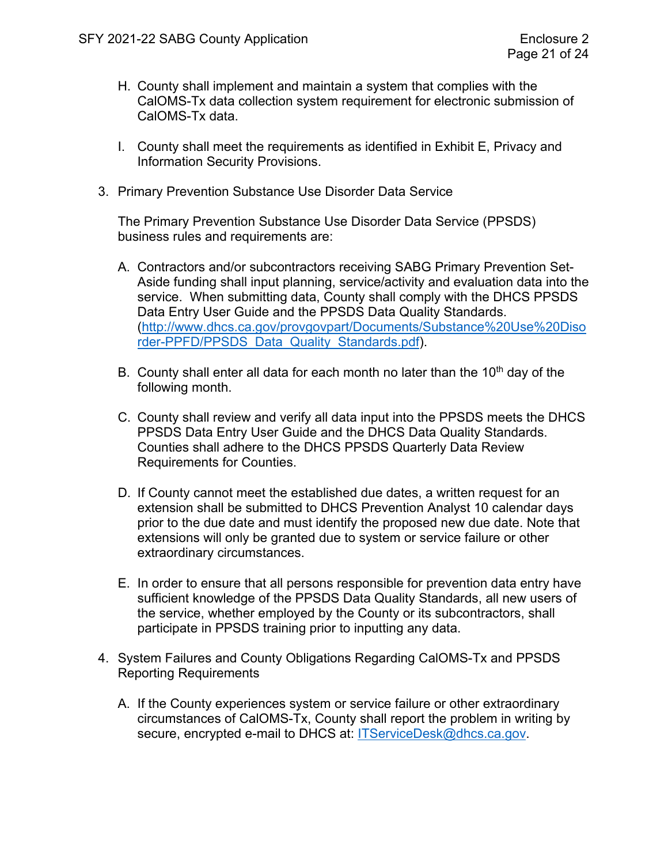- H. County shall implement and maintain a system that complies with the CalOMS-Tx data collection system requirement for electronic submission of CalOMS-Tx data.
- I. County shall meet the requirements as identified in Exhibit E, Privacy and Information Security Provisions.
- 3. Primary Prevention Substance Use Disorder Data Service

The Primary Prevention Substance Use Disorder Data Service (PPSDS) business rules and requirements are:

- A. Contractors and/or subcontractors receiving SABG Primary Prevention Set-Aside funding shall input planning, service/activity and evaluation data into the service. When submitting data, County shall comply with the DHCS PPSDS Data Entry User Guide and the PPSDS Data Quality Standards. [\(http://www.dhcs.ca.gov/provgovpart/Documents/Substance%20Use%20Diso](http://www.dhcs.ca.gov/provgovpart/Documents/Substance%20Use%20Disorder-PPFD/PPSDS_Data_Quality_Standards.pdf) [rder-PPFD/PPSDS\\_Data\\_Quality\\_Standards.pdf\)](http://www.dhcs.ca.gov/provgovpart/Documents/Substance%20Use%20Disorder-PPFD/PPSDS_Data_Quality_Standards.pdf).
- B. County shall enter all data for each month no later than the  $10<sup>th</sup>$  day of the following month.
- C. County shall review and verify all data input into the PPSDS meets the DHCS PPSDS Data Entry User Guide and the DHCS Data Quality Standards. Counties shall adhere to the DHCS PPSDS Quarterly Data Review Requirements for Counties.
- D. If County cannot meet the established due dates, a written request for an extension shall be submitted to DHCS Prevention Analyst 10 calendar days prior to the due date and must identify the proposed new due date. Note that extensions will only be granted due to system or service failure or other extraordinary circumstances.
- E. In order to ensure that all persons responsible for prevention data entry have sufficient knowledge of the PPSDS Data Quality Standards, all new users of the service, whether employed by the County or its subcontractors, shall participate in PPSDS training prior to inputting any data.
- 4. System Failures and County Obligations Regarding CalOMS-Tx and PPSDS Reporting Requirements
	- A. If the County experiences system or service failure or other extraordinary circumstances of CalOMS-Tx, County shall report the problem in writing by secure, encrypted e-mail to DHCS at: [ITServiceDesk@dhcs.ca.gov.](mailto:ITServiceDesk@dhcs.ca.gov)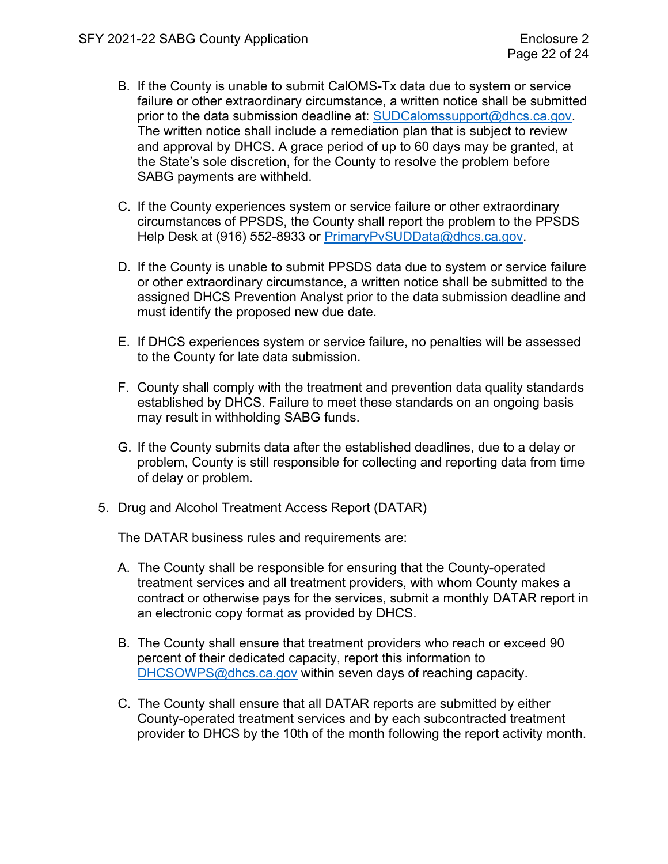- B. If the County is unable to submit CalOMS-Tx data due to system or service failure or other extraordinary circumstance, a written notice shall be submitted prior to the data submission deadline at: [SUDCalomssupport@dhcs.ca.gov.](mailto:SUDCalomssupport@dhcs.ca.gov) The written notice shall include a remediation plan that is subject to review and approval by DHCS. A grace period of up to 60 days may be granted, at the State's sole discretion, for the County to resolve the problem before SABG payments are withheld.
- C. If the County experiences system or service failure or other extraordinary circumstances of PPSDS, the County shall report the problem to the PPSDS Help Desk at (916) 552-8933 or [PrimaryPvSUDData@dhcs.ca.gov.](mailto:PrimaryPvSUDData@dhcs.ca.gov)
- D. If the County is unable to submit PPSDS data due to system or service failure or other extraordinary circumstance, a written notice shall be submitted to the assigned DHCS Prevention Analyst prior to the data submission deadline and must identify the proposed new due date.
- E. If DHCS experiences system or service failure, no penalties will be assessed to the County for late data submission.
- F. County shall comply with the treatment and prevention data quality standards established by DHCS. Failure to meet these standards on an ongoing basis may result in withholding SABG funds.
- G. If the County submits data after the established deadlines, due to a delay or problem, County is still responsible for collecting and reporting data from time of delay or problem.
- 5. Drug and Alcohol Treatment Access Report (DATAR)

The DATAR business rules and requirements are:

- A. The County shall be responsible for ensuring that the County-operated treatment services and all treatment providers, with whom County makes a contract or otherwise pays for the services, submit a monthly DATAR report in an electronic copy format as provided by DHCS.
- B. The County shall ensure that treatment providers who reach or exceed 90 percent of their dedicated capacity, report this information to [DHCSOWPS@dhcs.ca.gov](mailto:DHCSOWPS@dhcs.ca.gov) within seven days of reaching capacity.
- C. The County shall ensure that all DATAR reports are submitted by either County-operated treatment services and by each subcontracted treatment provider to DHCS by the 10th of the month following the report activity month.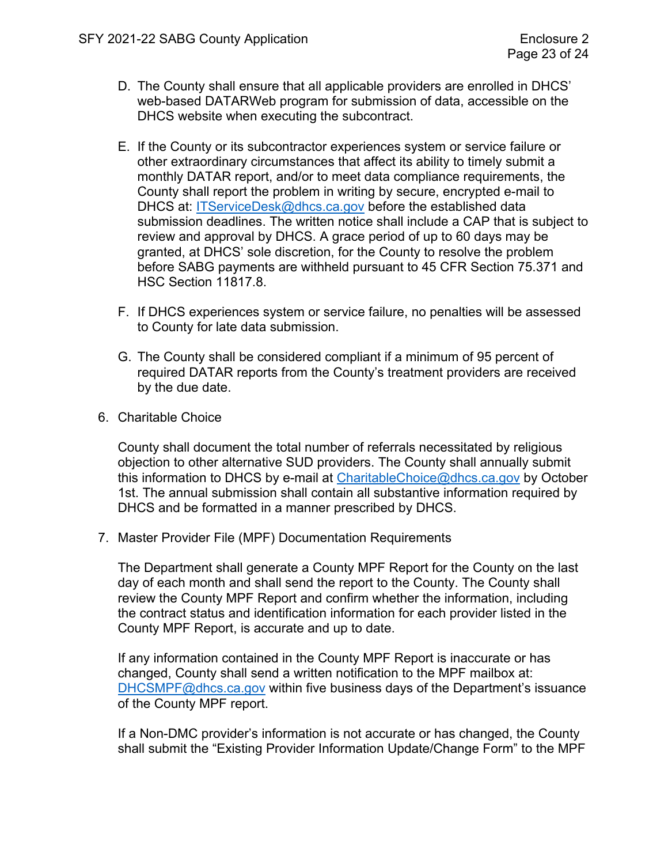- D. The County shall ensure that all applicable providers are enrolled in DHCS' web-based DATARWeb program for submission of data, accessible on the DHCS website when executing the subcontract.
- E. If the County or its subcontractor experiences system or service failure or other extraordinary circumstances that affect its ability to timely submit a monthly DATAR report, and/or to meet data compliance requirements, the County shall report the problem in writing by secure, encrypted e-mail to DHCS at: [ITServiceDesk@dhcs.ca.gov](mailto:ITServiceDesk@dhcs.ca.gov) before the established data submission deadlines. The written notice shall include a CAP that is subject to review and approval by DHCS. A grace period of up to 60 days may be granted, at DHCS' sole discretion, for the County to resolve the problem before SABG payments are withheld pursuant to 45 CFR Section 75.371 and HSC Section 11817.8.
- F. If DHCS experiences system or service failure, no penalties will be assessed to County for late data submission.
- G. The County shall be considered compliant if a minimum of 95 percent of required DATAR reports from the County's treatment providers are received by the due date.
- 6. Charitable Choice

County shall document the total number of referrals necessitated by religious objection to other alternative SUD providers. The County shall annually submit this information to DHCS by e-mail at [CharitableChoice@dhcs.ca.gov](mailto:CharitableChoice@dhcs.ca.gov) by October 1st. The annual submission shall contain all substantive information required by DHCS and be formatted in a manner prescribed by DHCS.

7. Master Provider File (MPF) Documentation Requirements

The Department shall generate a County MPF Report for the County on the last day of each month and shall send the report to the County. The County shall review the County MPF Report and confirm whether the information, including the contract status and identification information for each provider listed in the County MPF Report, is accurate and up to date.

If any information contained in the County MPF Report is inaccurate or has changed, County shall send a written notification to the MPF mailbox at: [DHCSMPF@dhcs.ca.gov](mailto:DHCSMPF@dhcs.ca.gov) within five business days of the Department's issuance of the County MPF report.

If a Non-DMC provider's information is not accurate or has changed, the County shall submit the "Existing Provider Information Update/Change Form" to the MPF